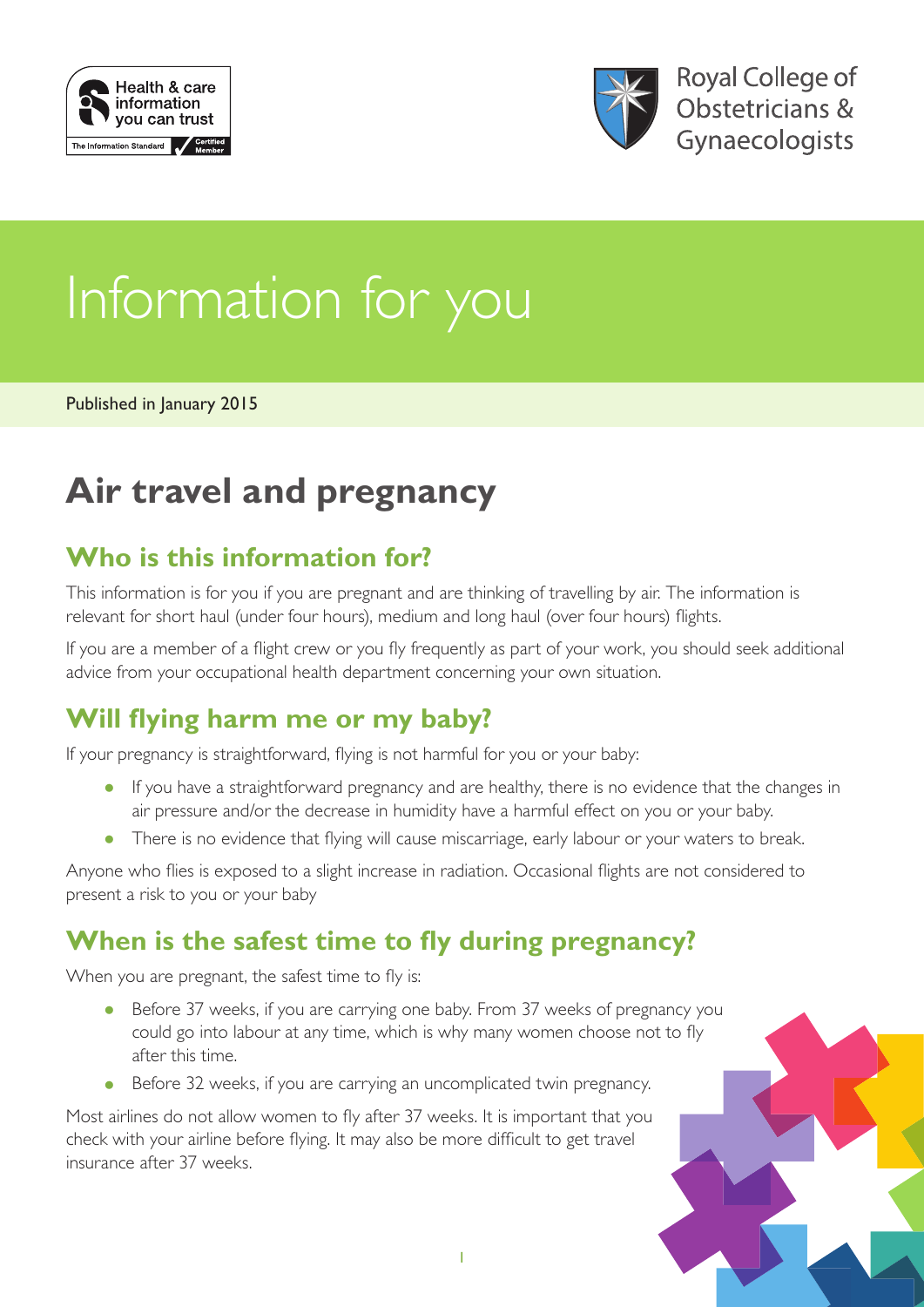



# Information for you

Published in January 2015

## **Air travel and pregnancy**

#### **Who is this information for?**

This information is for you if you are pregnant and are thinking of travelling by air. The information is relevant for short haul (under four hours), medium and long haul (over four hours) flights.

If you are a member of a flight crew or you fly frequently as part of your work, you should seek additional advice from your occupational health department concerning your own situation.

#### **Will flying harm me or my baby?**

If your pregnancy is straightforward, flying is not harmful for you or your baby:

- If you have a straightforward pregnancy and are healthy, there is no evidence that the changes in air pressure and/or the decrease in humidity have a harmful effect on you or your baby.
- There is no evidence that flying will cause miscarriage, early labour or your waters to break.

Anyone who flies is exposed to a slight increase in radiation. Occasional flights are not considered to present a risk to you or your baby

#### **When is the safest time to fly during pregnancy?**

When you are pregnant, the safest time to fly is:

- Before 37 weeks, if you are carrying one baby. From 37 weeks of pregnancy you could go into labour at any time, which is why many women choose not to fly after this time.
- Before 32 weeks, if you are carrying an uncomplicated twin pregnancy.

Most airlines do not allow women to fly after 37 weeks. It is important that you check with your airline before flying. It may also be more difficult to get travel insurance after 37 weeks.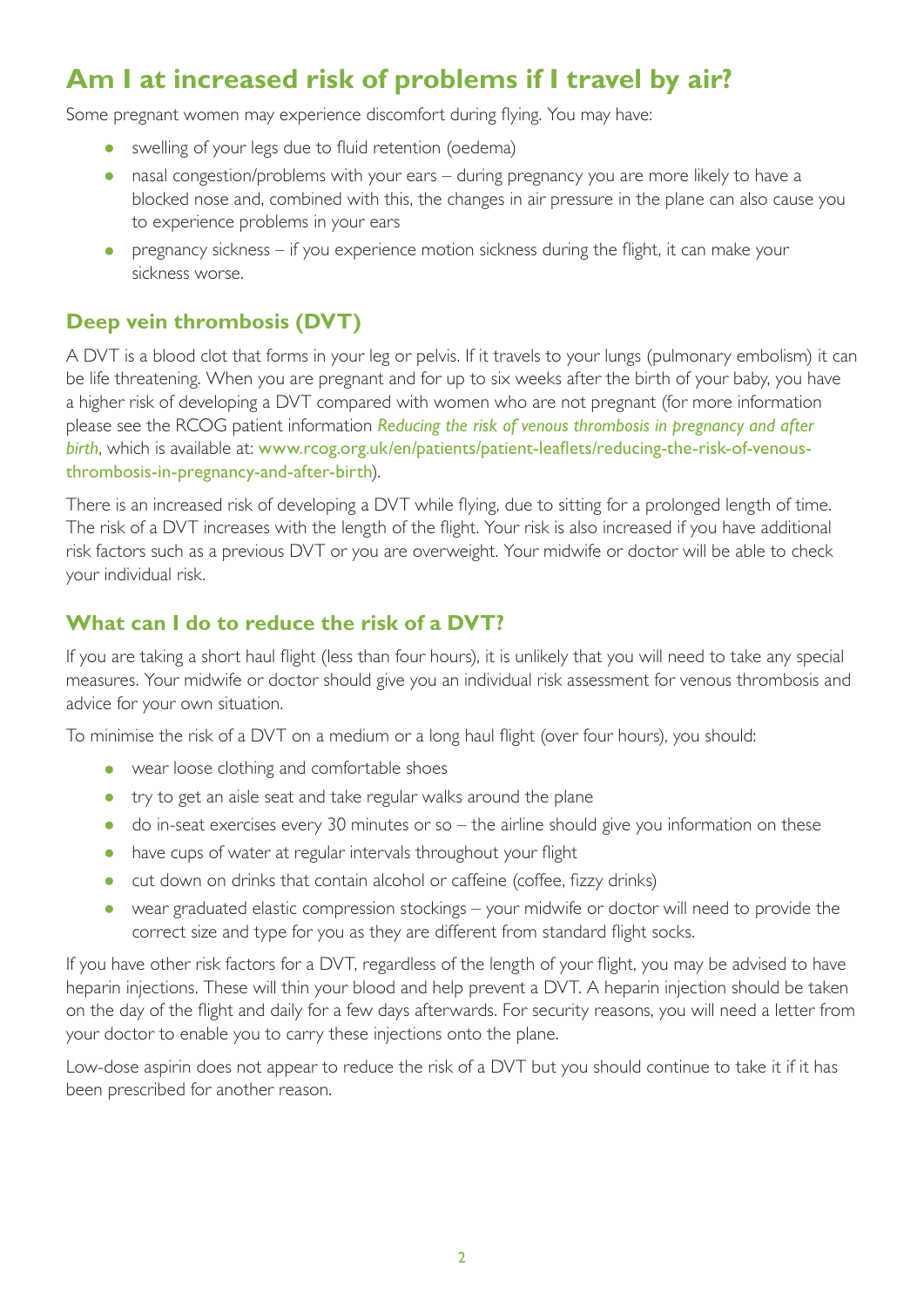## **Am I at increased risk of problems if I travel by air?**

Some pregnant women may experience discomfort during flying. You may have:

- swelling of your legs due to fluid retention (oedema)
- nasal congestion/problems with your ears during pregnancy you are more likely to have a blocked nose and, combined with this, the changes in air pressure in the plane can also cause you to experience problems in your ears
- pregnancy sickness if you experience motion sickness during the flight, it can make your sickness worse.

#### **Deep vein thrombosis (DVT)**

A DVT is a blood clot that forms in your leg or pelvis. If it travels to your lungs (pulmonary embolism) it can be life threatening. When you are pregnant and for up to six weeks after the birth of your baby, you have a higher risk of developing a DVT compared with women who are not pregnant (for more information please see the RCOG patient information *[Reducing the risk of venous thrombosis in pregnancy and after](https://www.rcog.org.uk/en/patients/patient-leaflets/reducing-the-risk-of-venous-thrombosis-in-pregnancy-and-after-birth/)  [birth](https://www.rcog.org.uk/en/patients/patient-leaflets/reducing-the-risk-of-venous-thrombosis-in-pregnancy-and-after-birth/)*, which is available at: [www.rcog.org.uk/en/patients/patient-leaflets/reducing-the-risk-of-venous](https://www.rcog.org.uk/en/patients/patient-leaflets/reducing-the-risk-of-venous-thrombosis-in-pregnancy-and-after-birth/)[thrombosis-in-pregnancy-and-after-birth](https://www.rcog.org.uk/en/patients/patient-leaflets/reducing-the-risk-of-venous-thrombosis-in-pregnancy-and-after-birth/)).

There is an increased risk of developing a DVT while flying, due to sitting for a prolonged length of time. The risk of a DVT increases with the length of the flight. Your risk is also increased if you have additional risk factors such as a previous DVT or you are overweight. Your midwife or doctor will be able to check your individual risk.

#### **What can I do to reduce the risk of a DVT?**

If you are taking a short haul flight (less than four hours), it is unlikely that you will need to take any special measures. Your midwife or doctor should give you an individual risk assessment for venous thrombosis and advice for your own situation.

To minimise the risk of a DVT on a medium or a long haul flight (over four hours), you should:

- wear loose clothing and comfortable shoes
- try to get an aisle seat and take regular walks around the plane
- do in-seat exercises every 30 minutes or so the airline should give you information on these
- have cups of water at regular intervals throughout your flight
- cut down on drinks that contain alcohol or caffeine (coffee, fizzy drinks)
- wear graduated elastic compression stockings your midwife or doctor will need to provide the correct size and type for you as they are different from standard flight socks.

If you have other risk factors for a DVT, regardless of the length of your flight, you may be advised to have heparin injections. These will thin your blood and help prevent a DVT. A heparin injection should be taken on the day of the flight and daily for a few days afterwards. For security reasons, you will need a letter from your doctor to enable you to carry these injections onto the plane.

Low-dose aspirin does not appear to reduce the risk of a DVT but you should continue to take it if it has been prescribed for another reason.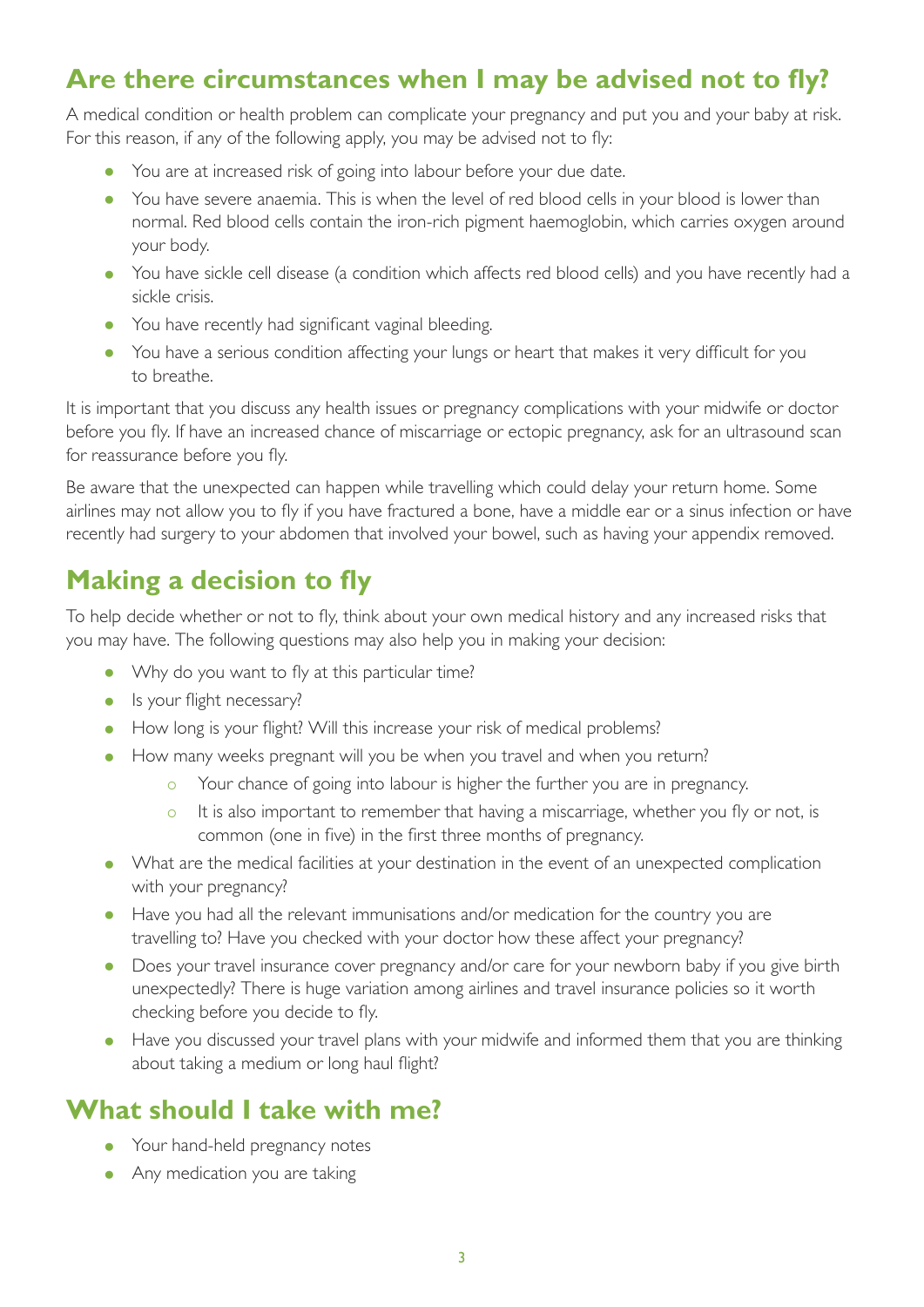## **Are there circumstances when I may be advised not to fly?**

A medical condition or health problem can complicate your pregnancy and put you and your baby at risk. For this reason, if any of the following apply, you may be advised not to fly:

- You are at increased risk of going into labour before your due date.
- You have severe anaemia. This is when the level of red blood cells in your blood is lower than normal. Red blood cells contain the iron-rich pigment haemoglobin, which carries oxygen around your body.
- You have sickle cell disease (a condition which affects red blood cells) and you have recently had a sickle crisis.
- You have recently had significant vaginal bleeding.
- You have a serious condition affecting your lungs or heart that makes it very difficult for you to breathe.

It is important that you discuss any health issues or pregnancy complications with your midwife or doctor before you fly. If have an increased chance of miscarriage or ectopic pregnancy, ask for an ultrasound scan for reassurance before you fly.

Be aware that the unexpected can happen while travelling which could delay your return home. Some airlines may not allow you to fly if you have fractured a bone, have a middle ear or a sinus infection or have recently had surgery to your abdomen that involved your bowel, such as having your appendix removed.

## **Making a decision to fly**

To help decide whether or not to fly, think about your own medical history and any increased risks that you may have. The following questions may also help you in making your decision:

- Why do you want to fly at this particular time?
- Is your flight necessary?
- How long is your flight? Will this increase your risk of medical problems?
- How many weeks pregnant will you be when you travel and when you return?
	- Your chance of going into labour is higher the further you are in pregnancy.
	- o It is also important to remember that having a miscarriage, whether you fly or not, is common (one in five) in the first three months of pregnancy.
- What are the medical facilities at your destination in the event of an unexpected complication with your pregnancy?
- Have you had all the relevant immunisations and/or medication for the country you are travelling to? Have you checked with your doctor how these affect your pregnancy?
- Does your travel insurance cover pregnancy and/or care for your newborn baby if you give birth unexpectedly? There is huge variation among airlines and travel insurance policies so it worth checking before you decide to fly.
- Have you discussed your travel plans with your midwife and informed them that you are thinking about taking a medium or long haul flight?

#### **What should I take with me?**

- Your hand-held pregnancy notes
- Any medication you are taking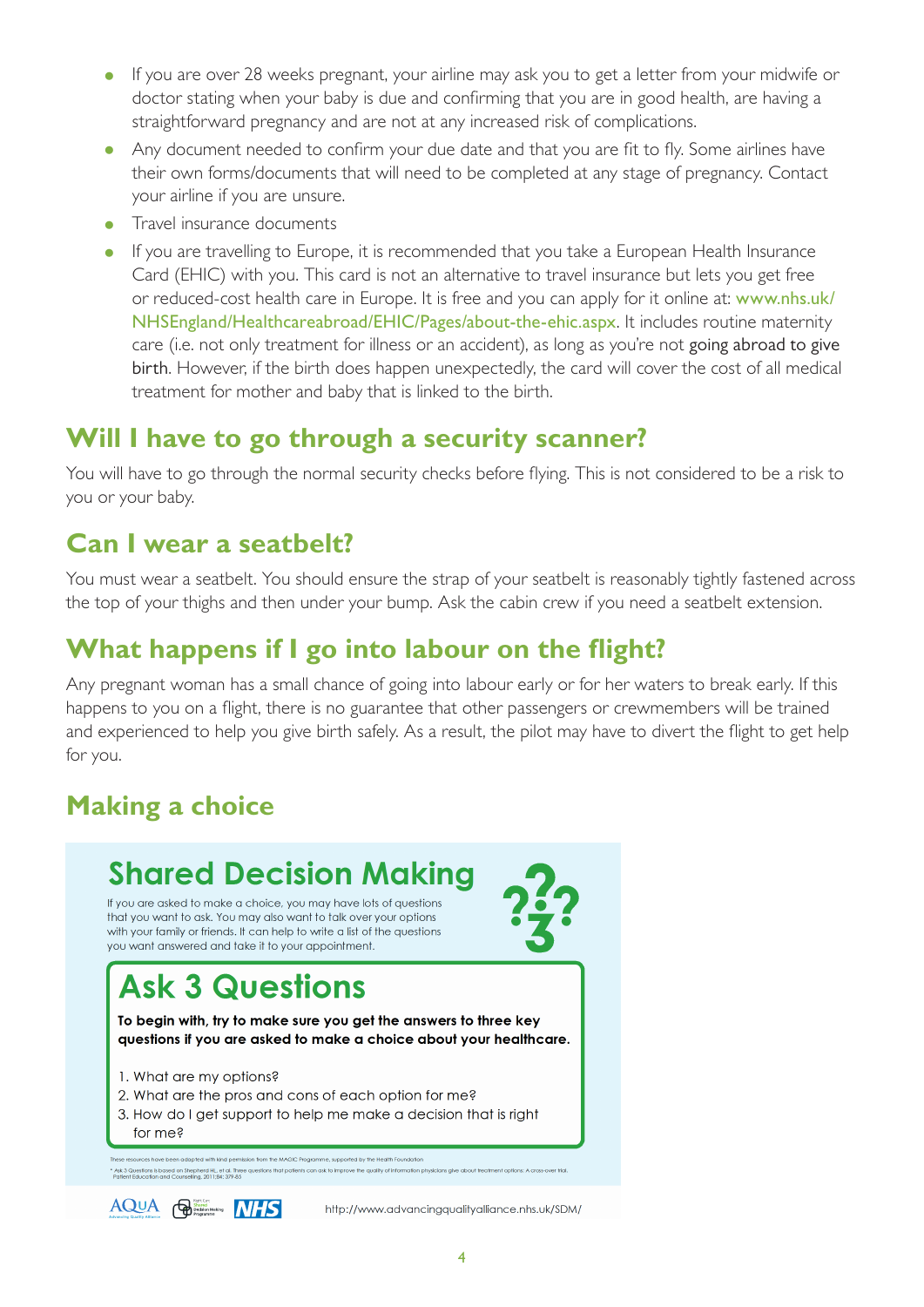- If you are over 28 weeks pregnant, your airline may ask you to get a letter from your midwife or doctor stating when your baby is due and confirming that you are in good health, are having a straightforward pregnancy and are not at any increased risk of complications.
- Any document needed to confirm your due date and that you are fit to fly. Some airlines have their own forms/documents that will need to be completed at any stage of pregnancy. Contact your airline if you are unsure.
- Travel insurance documents
- If you are travelling to Europe, it is recommended that you take a European Health Insurance Card (EHIC) with you. This card is not an alternative to travel insurance but lets you get free or reduced-cost health care in Europe. It is free and you can apply for it online at: [www.nhs.uk/](http://www.nhs.uk/NHSEngland/Healthcareabroad/EHIC/Pages/about-the-ehic.aspx) [NHSEngland/Healthcareabroad/EHIC/Pages/about-the-ehic.aspx](http://www.nhs.uk/NHSEngland/Healthcareabroad/EHIC/Pages/about-the-ehic.aspx). It includes routine maternity care (i.e. not only treatment for illness or an accident), as long as you're not [going abroad to give](http://www.nhs.uk/NHSEngland/Healthcareabroad/plannedtreatment/Pages/Givingbirth.aspx)  [birth](http://www.nhs.uk/NHSEngland/Healthcareabroad/plannedtreatment/Pages/Givingbirth.aspx). However, if the birth does happen unexpectedly, the card will cover the cost of all medical treatment for mother and baby that is linked to the birth.

#### **Will I have to go through a security scanner?**

You will have to go through the normal security checks before flying. This is not considered to be a risk to you or your baby.

#### **Can I wear a seatbelt?**

You must wear a seatbelt. You should ensure the strap of your seatbelt is reasonably tightly fastened across the top of your thighs and then under your bump. Ask the cabin crew if you need a seatbelt extension.

#### **What happens if I go into labour on the flight?**

Any pregnant woman has a small chance of going into labour early or for her waters to break early. If this happens to you on a flight, there is no guarantee that other passengers or crewmembers will be trained and experienced to help you give birth safely. As a result, the pilot may have to divert the flight to get help for you.

## **Making a choice**